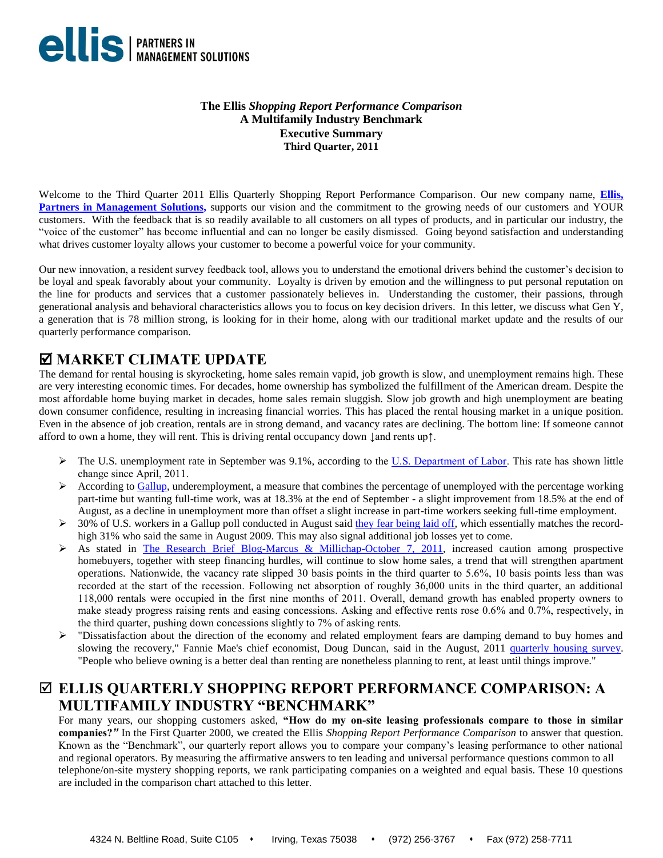

## **The Ellis** *Shopping Report Performance Comparison* **A Multifamily Industry Benchmark Executive Summary Third Quarter, 2011**

Welcome to the Third Quarter 2011 Ellis Quarterly Shopping Report Performance Comparison. Our new company name, **[Ellis,](https://www.epmsonline.com/)  [Partners in Management Solutions,](https://www.epmsonline.com/)** supports our vision and the commitment to the growing needs of our customers and YOUR customers. With the feedback that is so readily available to all customers on all types of products, and in particular our industry, the "voice of the customer" has become influential and can no longer be easily dismissed. Going beyond satisfaction and understanding what drives customer loyalty allows your customer to become a powerful voice for your community.

Our new innovation, a resident survey feedback tool, allows you to understand the emotional drivers behind the customer's decision to be loyal and speak favorably about your community. Loyalty is driven by emotion and the willingness to put personal reputation on the line for products and services that a customer passionately believes in. Understanding the customer, their passions, through generational analysis and behavioral characteristics allows you to focus on key decision drivers. In this letter, we discuss what Gen Y, a generation that is 78 million strong, is looking for in their home, along with our traditional market update and the results of our quarterly performance comparison.

## **MARKET CLIMATE UPDATE**

The demand for rental housing is skyrocketing, home sales remain vapid, job growth is slow, and unemployment remains high. These are very interesting economic times. For decades, home ownership has symbolized the fulfillment of the American dream. Despite the most affordable home buying market in decades, home sales remain sluggish. Slow job growth and high unemployment are beating down consumer confidence, resulting in increasing financial worries. This has placed the rental housing market in a unique position. Even in the absence of job creation, rentals are in strong demand, and vacancy rates are declining. The bottom line: If someone cannot afford to own a home, they will rent. This is driving rental occupancy down ↓and rents up↑.

- $\triangleright$  The U.S. unemployment rate in September was 9.1%, according to the [U.S. Department of Labor.](http://www.bls.gov/cps/) This rate has shown little change since April, 2011.
- According to [Gallup,](http://www.gallup.com/poll/149285/gallup-finds-unemployment-august.aspx) underemployment, a measure that combines the percentage of unemployed with the percentage working part-time but wanting full-time work, was at 18.3% at the end of September - a slight improvement from 18.5% at the end of August, as a decline in unemployment more than offset a slight increase in part-time workers seeking full-time employment.
- $\geq$  30% of U.S. workers in a Gallup poll conducted in August said [they fear being laid off,](http://www.gallup.com/poll/149261/Worries-Job-Cutbacks-Return-Record-Highs.aspx) which essentially matches the recordhigh 31% who said the same in August 2009. This may also signal additional job losses yet to come.
- As stated in [The Research Brief Blog-Marcus & Millichap-October 7, 2011,](http://blog.marcusmillichap.com/) increased caution among prospective homebuyers, together with steep financing hurdles, will continue to slow home sales, a trend that will strengthen apartment operations. Nationwide, the vacancy rate slipped 30 basis points in the third quarter to 5.6%, 10 basis points less than was recorded at the start of the recession. Following net absorption of roughly 36,000 units in the third quarter, an additional 118,000 rentals were occupied in the first nine months of 2011. Overall, demand growth has enabled property owners to make steady progress raising rents and easing concessions. Asking and effective rents rose 0.6% and 0.7%, respectively, in the third quarter, pushing down concessions slightly to 7% of asking rents.
- $\triangleright$  "Dissatisfaction about the direction of the economy and related employment fears are damping demand to buy homes and slowing the recovery," Fannie Mae's chief economist, Doug Duncan, said in the August, 2011 [quarterly housing survey.](http://www.fanniemae.com/portal/about-us/media/corporate-news/2011/5469.html) "People who believe owning is a better deal than renting are nonetheless planning to rent, at least until things improve."

# **ELLIS QUARTERLY SHOPPING REPORT PERFORMANCE COMPARISON: A MULTIFAMILY INDUSTRY "BENCHMARK"**

For many years, our shopping customers asked, **"How do my on-site leasing professionals compare to those in similar companies?***"* In the First Quarter 2000, we created the Ellis *Shopping Report Performance Comparison* to answer that question. Known as the "Benchmark", our quarterly report allows you to compare your company's leasing performance to other national and regional operators. By measuring the affirmative answers to ten leading and universal performance questions common to all telephone/on-site mystery shopping reports, we rank participating companies on a weighted and equal basis. These 10 questions are included in the comparison chart attached to this letter.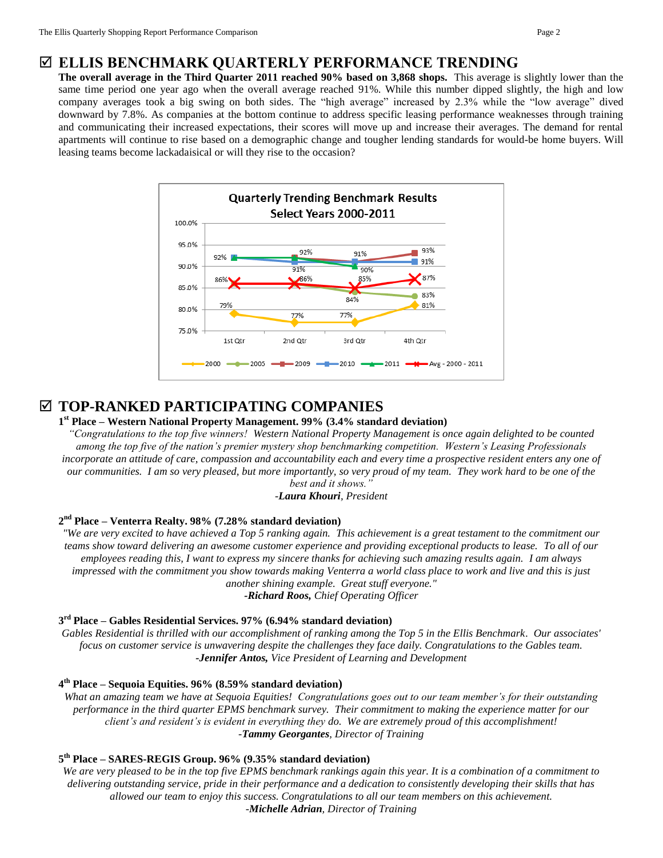## **ELLIS BENCHMARK QUARTERLY PERFORMANCE TRENDING**

**The overall average in the Third Quarter 2011 reached 90% based on 3,868 shops.** This average is slightly lower than the same time period one year ago when the overall average reached 91%. While this number dipped slightly, the high and low company averages took a big swing on both sides. The "high average" increased by 2.3% while the "low average" dived downward by 7.8%. As companies at the bottom continue to address specific leasing performance weaknesses through training and communicating their increased expectations, their scores will move up and increase their averages. The demand for rental apartments will continue to rise based on a demographic change and tougher lending standards for would-be home buyers. Will leasing teams become lackadaisical or will they rise to the occasion?



## **TOP-RANKED PARTICIPATING COMPANIES**

### **1 st Place – Western National Property Management. 99% (3.4% standard deviation)**

*"Congratulations to the top five winners! Western National Property Management is once again delighted to be counted among the top five of the nation's premier mystery shop benchmarking competition. Western's Leasing Professionals*  incorporate an attitude of care, compassion and accountability each and every time a prospective resident enters any one of *our communities. I am so very pleased, but more importantly, so very proud of my team. They work hard to be one of the best and it shows."*

*-Laura Khouri, President* 

## **2 nd Place – Venterra Realty. 98% (7.28% standard deviation)**

*"We are very excited to have achieved a Top 5 ranking again. This achievement is a great testament to the commitment our teams show toward delivering an awesome customer experience and providing exceptional products to lease. To all of our employees reading this, I want to express my sincere thanks for achieving such amazing results again. I am always impressed with the commitment you show towards making Venterra a world class place to work and live and this is just another shining example. Great stuff everyone."*

*-Richard Roos, Chief Operating Officer*

## **3 rd Place – Gables Residential Services. 97% (6.94% standard deviation)**

*Gables Residential is thrilled with our accomplishment of ranking among the Top 5 in the Ellis Benchmark. Our associates' focus on customer service is unwavering despite the challenges they face daily. Congratulations to the Gables team. -Jennifer Antos, Vice President of Learning and Development*

## **4 th Place – Sequoia Equities. 96% (8.59% standard deviation)**

*What an amazing team we have at Sequoia Equities! Congratulations goes out to our team member's for their outstanding performance in the third quarter EPMS benchmark survey. Their commitment to making the experience matter for our client's and resident's is evident in everything they do. We are extremely proud of this accomplishment! -Tammy Georgantes, Director of Training*

## **5 th Place – SARES-REGIS Group. 96% (9.35% standard deviation)**

*We are very pleased to be in the top five EPMS benchmark rankings again this year. It is a combination of a commitment to delivering outstanding service, pride in their performance and a dedication to consistently developing their skills that has allowed our team to enjoy this success. Congratulations to all our team members on this achievement. -Michelle Adrian, Director of Training*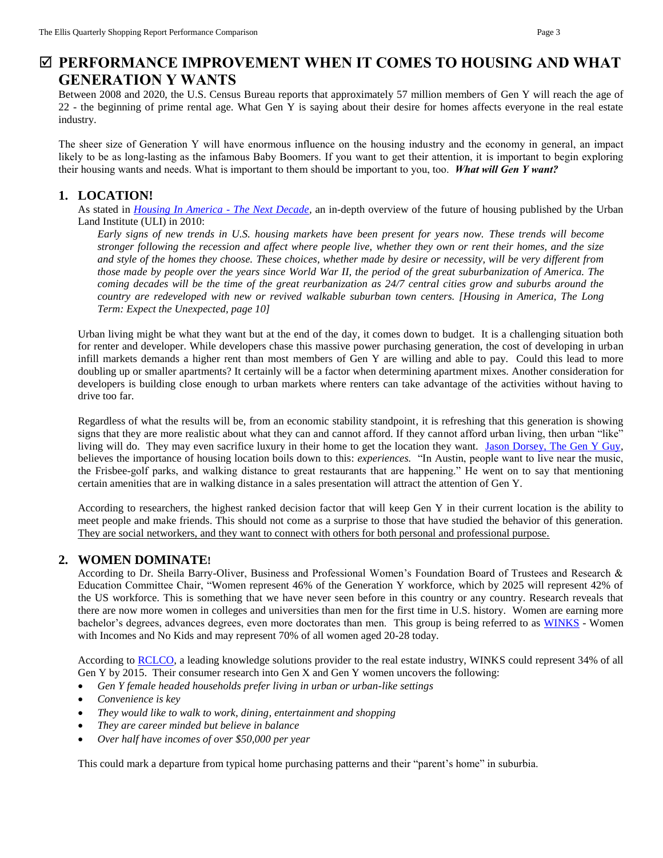## **PERFORMANCE IMPROVEMENT WHEN IT COMES TO HOUSING AND WHAT GENERATION Y WANTS**

Between 2008 and 2020, the U.S. Census Bureau reports that approximately 57 million members of Gen Y will reach the age of 22 - the beginning of prime rental age. What Gen Y is saying about their desire for homes affects everyone in the real estate industry.

The sheer size of Generation Y will have enormous influence on the housing industry and the economy in general, an impact likely to be as long-lasting as the infamous Baby Boomers. If you want to get their attention, it is important to begin exploring their housing wants and needs. What is important to them should be important to you, too. *What will Gen Y want?* 

## **1. LOCATION!**

As stated in *[Housing In America](http://www.uli.org/sitecore/content/ULI2Home/News/MediaCenter/PressReleases/2010%20archives/Content/~/media/Documents/ResearchAndPublications/Fellows/McIlwain/HousinginAmerica.ashx) - The Next Decade,* an in-depth overview of the future of housing published by the Urban Land Institute (ULI) in 2010:

*Early signs of new trends in U.S. housing markets have been present for years now. These trends will become stronger following the recession and affect where people live, whether they own or rent their homes, and the size and style of the homes they choose. These choices, whether made by desire or necessity, will be very different from those made by people over the years since World War II, the period of the great suburbanization of America. The coming decades will be the time of the great reurbanization as 24/7 central cities grow and suburbs around the country are redeveloped with new or revived walkable suburban town centers. [Housing in America, The Long Term: Expect the Unexpected, page 10]*

Urban living might be what they want but at the end of the day, it comes down to budget. It is a challenging situation both for renter and developer. While developers chase this massive power purchasing generation, the cost of developing in urban infill markets demands a higher rent than most members of Gen Y are willing and able to pay. Could this lead to more doubling up or smaller apartments? It certainly will be a factor when determining apartment mixes. Another consideration for developers is building close enough to urban markets where renters can take advantage of the activities without having to drive too far.

Regardless of what the results will be, from an economic stability standpoint, it is refreshing that this generation is showing signs that they are more realistic about what they can and cannot afford. If they cannot afford urban living, then urban "like" living will do. They may even sacrifice luxury in their home to get the location they want. [Jason Dorsey, The Gen Y Guy,](http://www.jasondorsey.com/) believes the importance of housing location boils down to this: *experiences.* "In Austin, people want to live near the music, the Frisbee-golf parks, and walking distance to great restaurants that are happening." He went on to say that mentioning certain amenities that are in walking distance in a sales presentation will attract the attention of Gen Y.

According to researchers, the highest ranked decision factor that will keep Gen Y in their current location is the ability to meet people and make friends. This should not come as a surprise to those that have studied the behavior of this generation. They are social networkers, [and they want to connect with others for both personal and professional purpose.](http://epmsonline.wordpress.com/category/understanding-your-customer/generation-y) 

## **2. WOMEN DOMINATE!**

According to Dr. Sheila Barry-Oliver, Business and Professional Women's Foundation Board of Trustees and Research & Education Committee Chair, "Women represent 46% of the Generation Y workforce, which by 2025 will represent 42% of the US workforce. This is something that we have never seen before in this country or any country. Research reveals that there are now more women in colleges and universities than men for the first time in U.S. history. Women are earning more bachelor's degrees, advances degrees, even more doctorates than men. This group is being referred to as [WINKS](http://en.wikipedia.org/wiki/WINKS) - Women with Incomes and No Kids and may represent 70% of all women aged 20-28 today.

According to [RCLCO,](http://www.rclco.com/generalpdf/general_Mar312008454_TheAdvisoryMar08_v2.pdf) a leading knowledge solutions provider to the real estate industry, WINKS could represent 34% of all Gen Y by 2015. Their consumer research into Gen X and Gen Y women uncovers the following:

- *Gen Y female headed households prefer living in urban or urban-like settings*
- *Convenience is key*
- *They would like to walk to work, dining, entertainment and shopping*
- *They are career minded but believe in balance*
- *Over half have incomes of over \$50,000 per year*

This could mark a departure from typical home purchasing patterns and their "parent's home" in suburbia.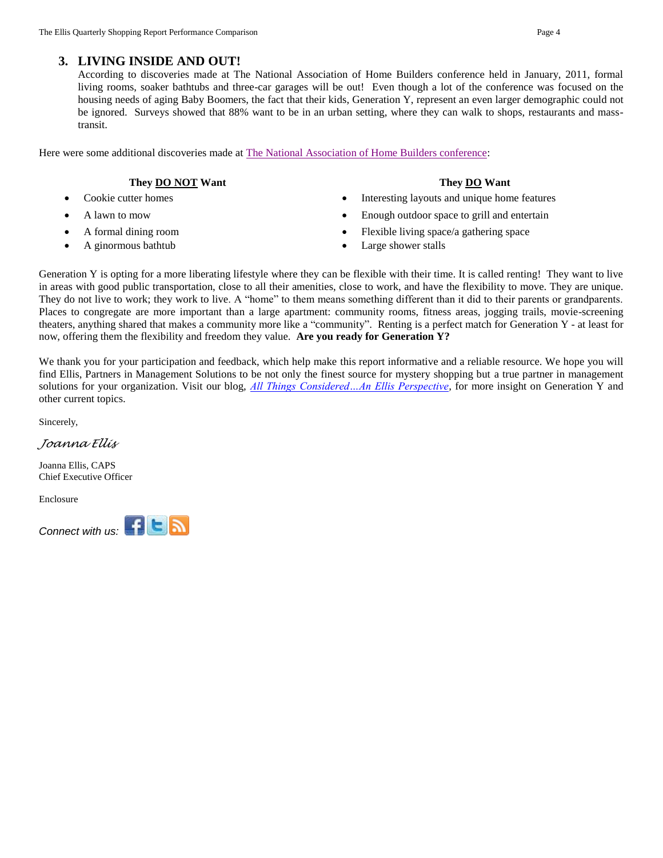## **3. LIVING INSIDE AND OUT!**

According to discoveries made at The National Association of Home Builders conference held in January, 2011, formal living rooms, soaker bathtubs and three-car garages will be out! Even though a lot of the conference was focused on the housing needs of aging Baby Boomers, the fact that their kids, Generation Y, represent an even larger demographic could not be ignored. Surveys showed that 88% want to be in an urban setting, where they can walk to shops, restaurants and masstransit.

Here were some additional discoveries made at [The National Association of Home Builders conference:](http://realestate.msn.com/blogs/listed.aspx?feat=141a9ad6-4c03-44ba-87c9-666951736d86)

### **They DO NOT** Want

- 
- 
- A ginormous bathtub **Company Company Company Company Company Company Company Company Company Company Company Company Company Company Company Company Company Company Company Company**

- Cookie cutter homes Interesting layouts and unique home features
- A lawn to mow **Enough outdoor space to grill and entertain**
- A formal dining room **Flexible living space**/a gathering space
	-

Generation Y is opting for a more liberating lifestyle where they can be flexible with their time. It is called renting! They want to live in areas with good public transportation, close to all their amenities, close to work, and have the flexibility to move. They are unique. They do not live to work; they work to live. A "home" to them means something different than it did to their parents or grandparents. Places to congregate are more important than a large apartment: community rooms, fitness areas, jogging trails, movie-screening theaters, anything shared that makes a community more like a "community". Renting is a perfect match for Generation Y - at least for now, offering them the flexibility and freedom they value. **Are you ready for Generation Y?** 

We thank you for your participation and feedback, which help make this report informative and a reliable resource. We hope you will find Ellis, Partners in Management Solutions to be not only the finest source for mystery shopping but a true partner in management solutions for your organization. Visit our blog, *[All Things Considered…An Ellis Perspective,](http://epmsonline.wordpress.com/)* for more insight on Generation Y and other current topics.

Sincerely,

*Joanna Ellis*

Joanna Ellis, CAPS Chief Executive Officer

Enclosure

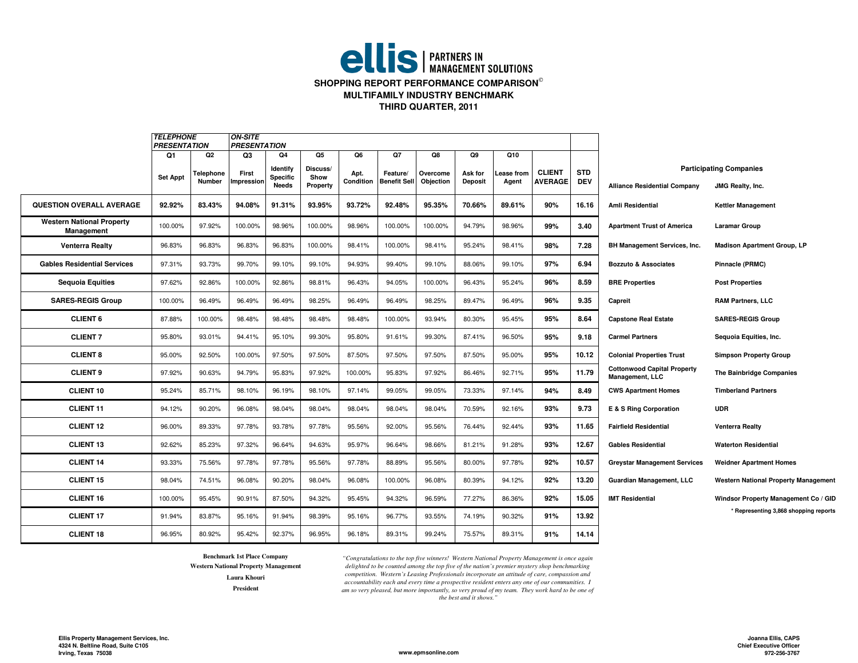# **ellis** | PARTNERS IN **SHOPPING REPORT PERFORMANCE COMPARISON MULTIFAMILY INDUSTRY BENCHMARKTHIRD QUARTER, 2011**

|                                                | <b>TELEPHONE</b>                                        |                     | <b>ON-SITE</b><br><b>PRESENTATION</b> |                                             |                              |                   |                                 |                       |                           |                     |                                 |                          |                                                              |                                                           |
|------------------------------------------------|---------------------------------------------------------|---------------------|---------------------------------------|---------------------------------------------|------------------------------|-------------------|---------------------------------|-----------------------|---------------------------|---------------------|---------------------------------|--------------------------|--------------------------------------------------------------|-----------------------------------------------------------|
|                                                | <b>PRESENTATION</b><br>Q <sub>1</sub><br>Q <sub>2</sub> |                     | Q3                                    | Q4                                          | Q5<br>Q6<br>Q7               |                   |                                 |                       | Q8<br>Q9<br>Q10           |                     |                                 |                          |                                                              |                                                           |
|                                                | <b>Set Appt</b>                                         | Telephone<br>Number | First<br>Impression                   | Identify<br><b>Specific</b><br><b>Needs</b> | Discuss/<br>Show<br>Property | Apt.<br>Condition | Feature/<br><b>Benefit Sell</b> | Overcome<br>Objection | Ask for<br><b>Deposit</b> | Lease from<br>Agent | <b>CLIENT</b><br><b>AVERAGE</b> | <b>STD</b><br><b>DEV</b> | <b>Alliance Residential Company</b>                          | <b>Participating Companies</b><br><b>JMG Realty, Inc.</b> |
| <b>QUESTION OVERALL AVERAGE</b>                | 92.92%                                                  | 83.43%              | 94.08%                                | 91.31%                                      | 93.95%                       | 93.72%            | 92.48%                          | 95.35%                | 70.66%                    | 89.61%              | 90%                             | 16.16                    | Amli Residential                                             | <b>Kettler Management</b>                                 |
| <b>Western National Property</b><br>Management | 100.00%                                                 | 97.92%              | 100.00%                               | 98.96%                                      | 100.00%                      | 98.96%            | 100.00%                         | 100.00%               | 94.79%                    | 98.96%              | 99%                             | 3.40                     | <b>Apartment Trust of America</b>                            | <b>Laramar Group</b>                                      |
| <b>Venterra Realty</b>                         | 96.83%                                                  | 96.83%              | 96.83%                                | 96.83%                                      | 100.00%                      | 98.41%            | 100.00%                         | 98.41%                | 95.24%                    | 98.41%              | 98%                             | 7.28                     | BH Management Services, Inc.                                 | <b>Madison Apartment Group, LP</b>                        |
| <b>Gables Residential Services</b>             | 97.31%                                                  | 93.73%              | 99.70%                                | 99.10%                                      | 99.10%                       | 94.93%            | 99.40%                          | 99.10%                | 88.06%                    | 99.10%              | 97%                             | 6.94                     | <b>Bozzuto &amp; Associates</b>                              | Pinnacle (PRMC)                                           |
| <b>Sequoia Equities</b>                        | 97.62%                                                  | 92.86%              | 100.00%                               | 92.86%                                      | 98.81%                       | 96.43%            | 94.05%                          | 100.00%               | 96.43%                    | 95.24%              | 96%                             | 8.59                     | <b>BRE Properties</b>                                        | <b>Post Properties</b>                                    |
| <b>SARES-REGIS Group</b>                       | 100.00%                                                 | 96.49%              | 96.49%                                | 96.49%                                      | 98.25%                       | 96.49%            | 96.49%                          | 98.25%                | 89.47%                    | 96.49%              | 96%                             | 9.35                     | Capreit                                                      | <b>RAM Partners, LLC</b>                                  |
| <b>CLIENT 6</b>                                | 87.88%                                                  | 100.00%             | 98.48%                                | 98.48%                                      | 98.48%                       | 98.48%            | 100.00%                         | 93.94%                | 80.30%                    | 95.45%              | 95%                             | 8.64                     | <b>Capstone Real Estate</b>                                  | <b>SARES-REGIS Group</b>                                  |
| <b>CLIENT 7</b>                                | 95.80%                                                  | 93.01%              | 94.41%                                | 95.10%                                      | 99.30%                       | 95.80%            | 91.61%                          | 99.30%                | 87.41%                    | 96.50%              | 95%                             | 9.18                     | <b>Carmel Partners</b>                                       | Sequoia Equities, Inc.                                    |
| <b>CLIENT 8</b>                                | 95.00%                                                  | 92.50%              | 100.00%                               | 97.50%                                      | 97.50%                       | 87.50%            | 97.50%                          | 97.50%                | 87.50%                    | 95.00%              | 95%                             | 10.12                    | <b>Colonial Properties Trust</b>                             | <b>Simpson Property Group</b>                             |
| <b>CLIENT 9</b>                                | 97.92%                                                  | 90.63%              | 94.79%                                | 95.83%                                      | 97.92%                       | 100.00%           | 95.83%                          | 97.92%                | 86.46%                    | 92.71%              | 95%                             | 11.79                    | <b>Cottonwood Capital Property</b><br><b>Management, LLC</b> | The Bainbridge Companies                                  |
| <b>CLIENT 10</b>                               | 95.24%                                                  | 85.71%              | 98.10%                                | 96.19%                                      | 98.10%                       | 97.14%            | 99.05%                          | 99.05%                | 73.33%                    | 97.14%              | 94%                             | 8.49                     | <b>CWS Apartment Homes</b>                                   | <b>Timberland Partners</b>                                |
| <b>CLIENT 11</b>                               | 94.12%                                                  | 90.20%              | 96.08%                                | 98.04%                                      | 98.04%                       | 98.04%            | 98.04%                          | 98.04%                | 70.59%                    | 92.16%              | 93%                             | 9.73                     | E & S Ring Corporation                                       | <b>UDR</b>                                                |
| <b>CLIENT 12</b>                               | 96.00%                                                  | 89.33%              | 97.78%                                | 93.78%                                      | 97.78%                       | 95.56%            | 92.00%                          | 95.56%                | 76.44%                    | 92.44%              | 93%                             | 11.65                    | <b>Fairfield Residential</b>                                 | <b>Venterra Realty</b>                                    |
| <b>CLIENT 13</b>                               | 92.62%                                                  | 85.23%              | 97.32%                                | 96.64%                                      | 94.63%                       | 95.97%            | 96.64%                          | 98.66%                | 81.21%                    | 91.28%              | 93%                             | 12.67                    | <b>Gables Residential</b>                                    | <b>Waterton Residential</b>                               |
| <b>CLIENT 14</b>                               | 93.33%                                                  | 75.56%              | 97.78%                                | 97.78%                                      | 95.56%                       | 97.78%            | 88.89%                          | 95.56%                | 80.00%                    | 97.78%              | 92%                             | 10.57                    | <b>Greystar Management Services</b>                          | <b>Weidner Apartment Homes</b>                            |
| <b>CLIENT 15</b>                               | 98.04%                                                  | 74.51%              | 96.08%                                | 90.20%                                      | 98.04%                       | 96.08%            | 100.00%                         | 96.08%                | 80.39%                    | 94.12%              | 92%                             | 13.20                    | Guardian Management, LLC                                     | <b>Western National Property Management</b>               |
| <b>CLIENT 16</b>                               | 100.00%                                                 | 95.45%              | 90.91%                                | 87.50%                                      | 94.32%                       | 95.45%            | 94.32%                          | 96.59%                | 77.27%                    | 86.36%              | 92%                             | 15.05                    | <b>IMT Residential</b>                                       | Windsor Property Management Co / GID                      |
| <b>CLIENT 17</b>                               | 91.94%                                                  | 83.87%              | 95.16%                                | 91.94%                                      | 98.39%                       | 95.16%            | 96.77%                          | 93.55%                | 74.19%                    | 90.32%              | 91%                             | 13.92                    |                                                              | * Representing 3,868 shopping reports                     |
| <b>CLIENT 18</b>                               | 96.95%                                                  | 80.92%              | 95.42%                                | 92.37%                                      | 96.95%                       | 96.18%            | 89.31%                          | 99.24%                | 75.57%                    | 89.31%              | 91%                             | 14.14                    |                                                              |                                                           |

**PresidentWestern National Property Management Benchmark 1st Place CompanyLaura Khouri**

*"Congratulations to the top five winners! Western National Property Management is once again delighted to be counted among the top five of the nation's premier mystery shop benchmarking competition. Western's Leasing Professionals incorporate an attitude of care, compassion and accountability each and every time a prospective resident enters any one of our communities. I am so very pleased, but more importantly, so very proud of my team. They work hard to be one of the best and it shows."*